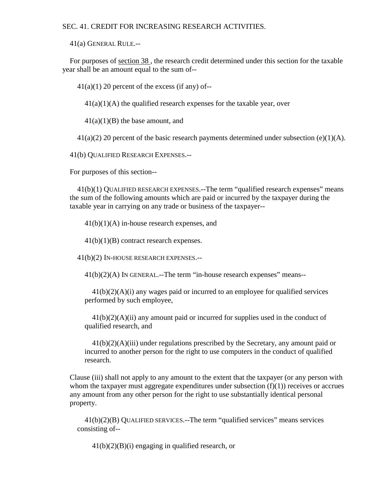## SEC. 41. CREDIT FOR INCREASING RESEARCH ACTIVITIES.

41(a) GENERAL RULE.--

For purposes of section 38 , the research credit determined under this section for the taxable year shall be an amount equal to the sum of--

 $41(a)(1)$  20 percent of the excess (if any) of--

 $41(a)(1)(A)$  the qualified research expenses for the taxable year, over

 $41(a)(1)(B)$  the base amount, and

 $41(a)(2)$  20 percent of the basic research payments determined under subsection (e)(1)(A).

41(b) QUALIFIED RESEARCH EXPENSES.--

For purposes of this section--

41(b)(1) QUALIFIED RESEARCH EXPENSES.--The term "qualified research expenses" means the sum of the following amounts which are paid or incurred by the taxpayer during the taxable year in carrying on any trade or business of the taxpayer--

41(b)(1)(A) in-house research expenses, and

41(b)(1)(B) contract research expenses.

41(b)(2) IN-HOUSE RESEARCH EXPENSES.--

 $41(b)(2)(A)$  In GENERAL.--The term "in-house research expenses" means--

 $41(b)(2)(A)(i)$  any wages paid or incurred to an employee for qualified services performed by such employee,

 $41(b)(2)(A)(ii)$  any amount paid or incurred for supplies used in the conduct of qualified research, and

 $41(b)(2)(A)(iii)$  under regulations prescribed by the Secretary, any amount paid or incurred to another person for the right to use computers in the conduct of qualified research.

Clause (iii) shall not apply to any amount to the extent that the taxpayer (or any person with whom the taxpayer must aggregate expenditures under subsection  $(f)(1)$ ) receives or accrues any amount from any other person for the right to use substantially identical personal property.

41(b)(2)(B) QUALIFIED SERVICES.--The term "qualified services" means services consisting of--

 $41(b)(2)(B)(i)$  engaging in qualified research, or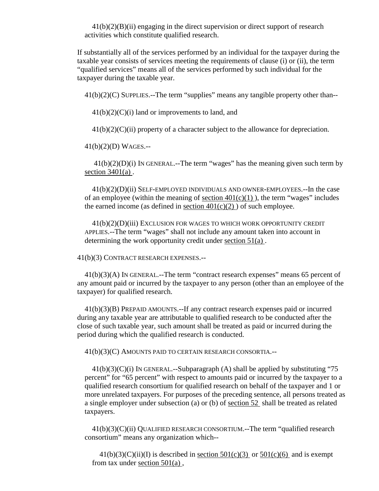$41(b)(2)(B)(ii)$  engaging in the direct supervision or direct support of research activities which constitute qualified research.

If substantially all of the services performed by an individual for the taxpayer during the taxable year consists of services meeting the requirements of clause (i) or (ii), the term "qualified services" means all of the services performed by such individual for the taxpayer during the taxable year.

41(b)(2)(C) SUPPLIES.--The term "supplies" means any tangible property other than--

 $41(b)(2)(C)(i)$  land or improvements to land, and

 $41(b)(2)(C)(ii)$  property of a character subject to the allowance for depreciation.

41(b)(2)(D) WAGES.--

 41(b)(2)(D)(i) IN GENERAL.--The term "wages" has the meaning given such term by section 3401(a) .

41(b)(2)(D)(ii) SELF-EMPLOYED INDIVIDUALS AND OWNER-EMPLOYEES.--In the case of an employee (within the meaning of section  $401(c)(1)$ ), the term "wages" includes the earned income (as defined in section  $401(c)(2)$ ) of such employee.

41(b)(2)(D)(iii) EXCLUSION FOR WAGES TO WHICH WORK OPPORTUNITY CREDIT APPLIES.--The term "wages" shall not include any amount taken into account in determining the work opportunity credit under section 51(a) .

41(b)(3) CONTRACT RESEARCH EXPENSES.--

41(b)(3)(A) IN GENERAL.--The term "contract research expenses" means 65 percent of any amount paid or incurred by the taxpayer to any person (other than an employee of the taxpayer) for qualified research.

41(b)(3)(B) PREPAID AMOUNTS.--If any contract research expenses paid or incurred during any taxable year are attributable to qualified research to be conducted after the close of such taxable year, such amount shall be treated as paid or incurred during the period during which the qualified research is conducted.

41(b)(3)(C) AMOUNTS PAID TO CERTAIN RESEARCH CONSORTIA.--

 $41(b)(3)(C)(i)$  IN GENERAL.--Subparagraph (A) shall be applied by substituting "75 percent" for "65 percent" with respect to amounts paid or incurred by the taxpayer to a qualified research consortium for qualified research on behalf of the taxpayer and 1 or more unrelated taxpayers. For purposes of the preceding sentence, all persons treated as a single employer under subsection (a) or (b) of section 52 shall be treated as related taxpayers.

41(b)(3)(C)(ii) QUALIFIED RESEARCH CONSORTIUM.--The term "qualified research consortium" means any organization which--

 $41(b)(3)(C)(ii)(I)$  is described in section  $501(c)(3)$  or  $501(c)(6)$  and is exempt from tax under section 501(a) ,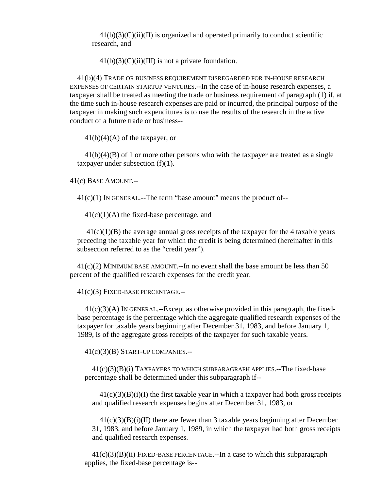$41(b)(3)(C)(ii)(II)$  is organized and operated primarily to conduct scientific research, and

 $41(b)(3)(C)(ii)(III)$  is not a private foundation.

41(b)(4) TRADE OR BUSINESS REQUIREMENT DISREGARDED FOR IN-HOUSE RESEARCH EXPENSES OF CERTAIN STARTUP VENTURES.--In the case of in-house research expenses, a taxpayer shall be treated as meeting the trade or business requirement of paragraph (1) if, at the time such in-house research expenses are paid or incurred, the principal purpose of the taxpayer in making such expenditures is to use the results of the research in the active conduct of a future trade or business--

 $41(b)(4)(A)$  of the taxpayer, or

41(b)(4)(B) of 1 or more other persons who with the taxpayer are treated as a single taxpayer under subsection  $(f)(1)$ .

41(c) BASE AMOUNT.--

41(c)(1) IN GENERAL.--The term "base amount" means the product of--

 $41(c)(1)(A)$  the fixed-base percentage, and

 $41(c)(1)(B)$  the average annual gross receipts of the taxpayer for the 4 taxable years preceding the taxable year for which the credit is being determined (hereinafter in this subsection referred to as the "credit year").

41(c)(2) MINIMUM BASE AMOUNT.--In no event shall the base amount be less than 50 percent of the qualified research expenses for the credit year.

41(c)(3) FIXED-BASE PERCENTAGE.--

 $41(c)(3)(A)$  In GENERAL.--Except as otherwise provided in this paragraph, the fixedbase percentage is the percentage which the aggregate qualified research expenses of the taxpayer for taxable years beginning after December 31, 1983, and before January 1, 1989, is of the aggregate gross receipts of the taxpayer for such taxable years.

41(c)(3)(B) START-UP COMPANIES.--

41(c)(3)(B)(i) TAXPAYERS TO WHICH SUBPARAGRAPH APPLIES.--The fixed-base percentage shall be determined under this subparagraph if--

 $41(c)(3)(B)(i)$  the first taxable year in which a taxpayer had both gross receipts and qualified research expenses begins after December 31, 1983, or

 $41(c)(3)(B)(i)(II)$  there are fewer than 3 taxable years beginning after December 31, 1983, and before January 1, 1989, in which the taxpayer had both gross receipts and qualified research expenses.

 $41(c)(3)(B)(ii)$  FIXED-BASE PERCENTAGE.--In a case to which this subparagraph applies, the fixed-base percentage is--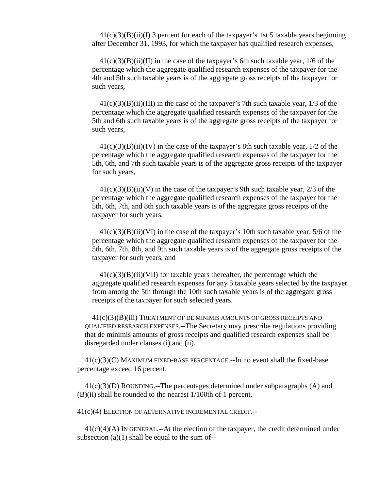$41(c)(3)(B)(ii)(I)$  3 percent for each of the taxpayer's 1st 5 taxable years beginning after December 31, 1993, for which the taxpayer has qualified research expenses,

 $41(c)(3)(B)(ii)(II)$  in the case of the taxpayer's 6th such taxable year, 1/6 of the percentage which the aggregate qualified research expenses of the taxpayer for the 4th and 5th such taxable years is of the aggregate gross receipts of the taxpayer for such years,

 $41(c)(3)(B)(ii)(III)$  in the case of the taxpayer's 7th such taxable year,  $1/3$  of the percentage which the aggregate qualified research expenses of the taxpayer for the 5th and 6th such taxable years is of the aggregate gross receipts of the taxpayer for such years,

 $41(c)(3)(B)(ii)(IV)$  in the case of the taxpayer's 8th such taxable year,  $1/2$  of the percentage which the aggregate qualified research expenses of the taxpayer for the 5th, 6th, and 7th such taxable years is of the aggregate gross receipts of the taxpayer for such years,

 $41(c)(3)(B)(ii)(V)$  in the case of the taxpayer's 9th such taxable year, 2/3 of the percentage which the aggregate qualified research expenses of the taxpayer for the 5th, 6th, 7th, and 8th such taxable years is of the aggregate gross receipts of the taxpayer for such years,

 $41(c)(3)(B)(ii)(VI)$  in the case of the taxpayer's 10th such taxable year, 5/6 of the percentage which the aggregate qualified research expenses of the taxpayer for the 5th, 6th, 7th, 8th, and 9th such taxable years is of the aggregate gross receipts of the taxpayer for such years, and

 $41(c)(3)(B)(ii)(VII)$  for taxable years thereafter, the percentage which the aggregate qualified research expenses for any 5 taxable years selected by the taxpayer from among the 5th through the 10th such taxable years is of the aggregate gross receipts of the taxpayer for such selected years.

41(c)(3)(B)(iii) TREATMENT OF DE MINIMIS AMOUNTS OF GROSS RECEIPTS AND QUALIFIED RESEARCH EXPENSES.--The Secretary may prescribe regulations providing that de minimis amounts of gross receipts and qualified research expenses shall be disregarded under clauses (i) and (ii).

 $41(c)(3)(C)$  MAXIMUM FIXED-BASE PERCENTAGE.--In no event shall the fixed-base percentage exceed 16 percent.

 $41(c)(3)(D)$  ROUNDING.--The percentages determined under subparagraphs (A) and (B)(ii) shall be rounded to the nearest 1/100th of 1 percent.

41(c)(4) ELECTION OF ALTERNATIVE INCREMENTAL CREDIT.--

 $41(c)(4)(A)$  In GENERAL.--At the election of the taxpayer, the credit determined under subsection  $(a)(1)$  shall be equal to the sum of--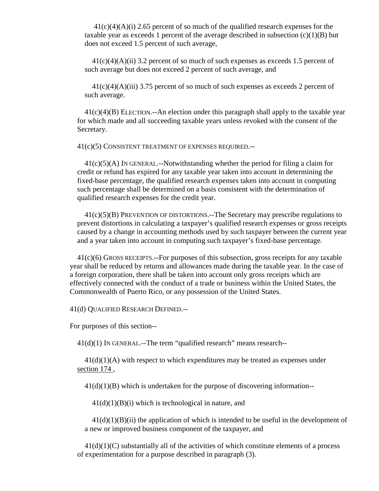$41(c)(4)(A)(i)$  2.65 percent of so much of the qualified research expenses for the taxable year as exceeds 1 percent of the average described in subsection  $(c)(1)(B)$  but does not exceed 1.5 percent of such average,

 $41(c)(4)(A)(ii)$  3.2 percent of so much of such expenses as exceeds 1.5 percent of such average but does not exceed 2 percent of such average, and

41(c)(4)(A)(iii) 3.75 percent of so much of such expenses as exceeds 2 percent of such average.

41(c)(4)(B) ELECTION.--An election under this paragraph shall apply to the taxable year for which made and all succeeding taxable years unless revoked with the consent of the Secretary.

41(c)(5) CONSISTENT TREATMENT OF EXPENSES REQUIRED.--

41(c)(5)(A) IN GENERAL.--Notwithstanding whether the period for filing a claim for credit or refund has expired for any taxable year taken into account in determining the fixed-base percentage, the qualified research expenses taken into account in computing such percentage shall be determined on a basis consistent with the determination of qualified research expenses for the credit year.

41(c)(5)(B) PREVENTION OF DISTORTIONS.--The Secretary may prescribe regulations to prevent distortions in calculating a taxpayer's qualified research expenses or gross receipts caused by a change in accounting methods used by such taxpayer between the current year and a year taken into account in computing such taxpayer's fixed-base percentage.

41(c)(6) GROSS RECEIPTS.--For purposes of this subsection, gross receipts for any taxable year shall be reduced by returns and allowances made during the taxable year. In the case of a foreign corporation, there shall be taken into account only gross receipts which are effectively connected with the conduct of a trade or business within the United States, the Commonwealth of Puerto Rico, or any possession of the United States.

41(d) QUALIFIED RESEARCH DEFINED.--

For purposes of this section--

 $41(d)(1)$  IN GENERAL.--The term "qualified research" means research--

 $41(d)(1)(A)$  with respect to which expenditures may be treated as expenses under section 174 ,

 $41(d)(1)(B)$  which is undertaken for the purpose of discovering information--

 $41(d)(1)(B)(i)$  which is technological in nature, and

 $41(d)(1)(B)(ii)$  the application of which is intended to be useful in the development of a new or improved business component of the taxpayer, and

 $41(d)(1)(C)$  substantially all of the activities of which constitute elements of a process of experimentation for a purpose described in paragraph (3).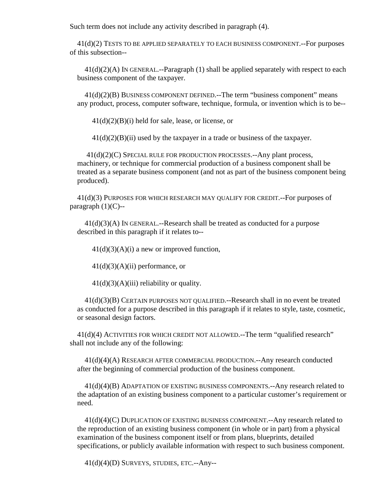Such term does not include any activity described in paragraph (4).

41(d)(2) TESTS TO BE APPLIED SEPARATELY TO EACH BUSINESS COMPONENT.--For purposes of this subsection--

41(d)(2)(A) IN GENERAL.--Paragraph (1) shall be applied separately with respect to each business component of the taxpayer.

41(d)(2)(B) BUSINESS COMPONENT DEFINED.--The term "business component" means any product, process, computer software, technique, formula, or invention which is to be--

 $41(d)(2)(B)(i)$  held for sale, lease, or license, or

 $41(d)(2)(B)(ii)$  used by the taxpayer in a trade or business of the taxpayer.

 41(d)(2)(C) SPECIAL RULE FOR PRODUCTION PROCESSES.--Any plant process, machinery, or technique for commercial production of a business component shall be treated as a separate business component (and not as part of the business component being produced).

41(d)(3) PURPOSES FOR WHICH RESEARCH MAY QUALIFY FOR CREDIT.--For purposes of paragraph  $(1)(C)$ --

41(d)(3)(A) IN GENERAL.--Research shall be treated as conducted for a purpose described in this paragraph if it relates to--

 $41(d)(3)(A)(i)$  a new or improved function,

 $41(d)(3)(A)(ii)$  performance, or

 $41(d)(3)(A)(iii)$  reliability or quality.

41(d)(3)(B) CERTAIN PURPOSES NOT QUALIFIED.--Research shall in no event be treated as conducted for a purpose described in this paragraph if it relates to style, taste, cosmetic, or seasonal design factors.

41(d)(4) ACTIVITIES FOR WHICH CREDIT NOT ALLOWED.--The term "qualified research" shall not include any of the following:

41(d)(4)(A) RESEARCH AFTER COMMERCIAL PRODUCTION.--Any research conducted after the beginning of commercial production of the business component.

41(d)(4)(B) ADAPTATION OF EXISTING BUSINESS COMPONENTS.--Any research related to the adaptation of an existing business component to a particular customer's requirement or need.

41(d)(4)(C) DUPLICATION OF EXISTING BUSINESS COMPONENT.--Any research related to the reproduction of an existing business component (in whole or in part) from a physical examination of the business component itself or from plans, blueprints, detailed specifications, or publicly available information with respect to such business component.

41(d)(4)(D) SURVEYS, STUDIES, ETC.--Any--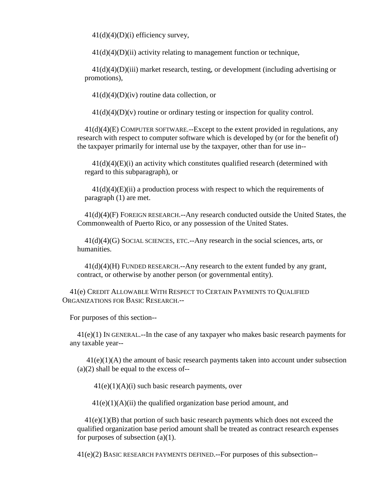$41(d)(4)(D)(i)$  efficiency survey,

 $41(d)(4)(D)(ii)$  activity relating to management function or technique,

 $41(d)(4)(D)(iii)$  market research, testing, or development (including advertising or promotions),

 $41(d)(4)(D)(iv)$  routine data collection, or

 $41(d)(4)(D)(v)$  routine or ordinary testing or inspection for quality control.

41(d)(4)(E) COMPUTER SOFTWARE.--Except to the extent provided in regulations, any research with respect to computer software which is developed by (or for the benefit of) the taxpayer primarily for internal use by the taxpayer, other than for use in--

 $41(d)(4)(E)(i)$  an activity which constitutes qualified research (determined with regard to this subparagraph), or

 $41(d)(4)(E)(ii)$  a production process with respect to which the requirements of paragraph (1) are met.

41(d)(4)(F) FOREIGN RESEARCH.--Any research conducted outside the United States, the Commonwealth of Puerto Rico, or any possession of the United States.

 $41(d)(4)(G)$  SOCIAL SCIENCES, ETC. $-$ Any research in the social sciences, arts, or humanities.

 $41(d)(4)(H)$  FUNDED RESEARCH.--Any research to the extent funded by any grant, contract, or otherwise by another person (or governmental entity).

41(e) CREDIT ALLOWABLE WITH RESPECT TO CERTAIN PAYMENTS TO QUALIFIED ORGANIZATIONS FOR BASIC RESEARCH.--

For purposes of this section--

41(e)(1) IN GENERAL.--In the case of any taxpayer who makes basic research payments for any taxable year--

 41(e)(1)(A) the amount of basic research payments taken into account under subsection  $(a)(2)$  shall be equal to the excess of--

 $41(e)(1)(A)(i)$  such basic research payments, over

 $41(e)(1)(A)(ii)$  the qualified organization base period amount, and

 $41(e)(1)(B)$  that portion of such basic research payments which does not exceed the qualified organization base period amount shall be treated as contract research expenses for purposes of subsection  $(a)(1)$ .

41(e)(2) BASIC RESEARCH PAYMENTS DEFINED.--For purposes of this subsection--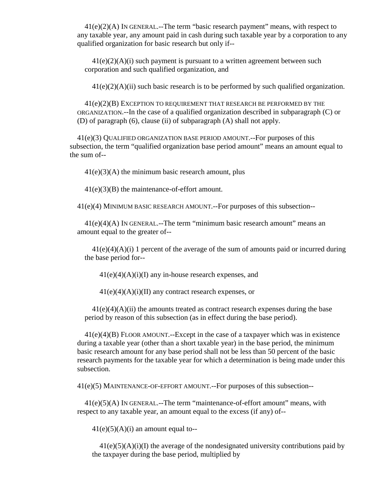41(e)(2)(A) IN GENERAL.--The term "basic research payment" means, with respect to any taxable year, any amount paid in cash during such taxable year by a corporation to any qualified organization for basic research but only if--

 $41(e)(2)(A)(i)$  such payment is pursuant to a written agreement between such corporation and such qualified organization, and

 $41(e)(2)(A)(ii)$  such basic research is to be performed by such qualified organization.

41(e)(2)(B) EXCEPTION TO REQUIREMENT THAT RESEARCH BE PERFORMED BY THE ORGANIZATION.--In the case of a qualified organization described in subparagraph (C) or (D) of paragraph (6), clause (ii) of subparagraph (A) shall not apply.

41(e)(3) QUALIFIED ORGANIZATION BASE PERIOD AMOUNT.--For purposes of this subsection, the term "qualified organization base period amount" means an amount equal to the sum of--

 $41(e)(3)(A)$  the minimum basic research amount, plus

41(e)(3)(B) the maintenance-of-effort amount.

41(e)(4) MINIMUM BASIC RESEARCH AMOUNT.--For purposes of this subsection--

 $41(e)(4)(A)$  IN GENERAL.--The term "minimum basic research amount" means an amount equal to the greater of--

41(e)(4)(A)(i) 1 percent of the average of the sum of amounts paid or incurred during the base period for--

 $41(e)(4)(A)(i)(I)$  any in-house research expenses, and

 $41(e)(4)(A)(i)(II)$  any contract research expenses, or

 $41(e)(4)(A)(ii)$  the amounts treated as contract research expenses during the base period by reason of this subsection (as in effect during the base period).

 $41(e)(4)(B)$  FLOOR AMOUNT.--Except in the case of a taxpayer which was in existence during a taxable year (other than a short taxable year) in the base period, the minimum basic research amount for any base period shall not be less than 50 percent of the basic research payments for the taxable year for which a determination is being made under this subsection.

41(e)(5) MAINTENANCE-OF-EFFORT AMOUNT.--For purposes of this subsection--

41(e)(5)(A) IN GENERAL.--The term "maintenance-of-effort amount" means, with respect to any taxable year, an amount equal to the excess (if any) of--

 $41(e)(5)(A)(i)$  an amount equal to--

 $41(e)(5)(A)(i)(I)$  the average of the nondesignated university contributions paid by the taxpayer during the base period, multiplied by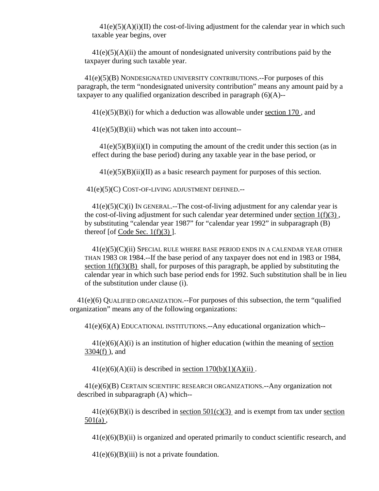$41(e)(5)(A)(i)(II)$  the cost-of-living adjustment for the calendar year in which such taxable year begins, over

 $41(e)(5)(A)(ii)$  the amount of nondesignated university contributions paid by the taxpayer during such taxable year.

41(e)(5)(B) NONDESIGNATED UNIVERSITY CONTRIBUTIONS.--For purposes of this paragraph, the term "nondesignated university contribution" means any amount paid by a taxpayer to any qualified organization described in paragraph  $(6)(A)$ --

 $41(e)(5)(B)(i)$  for which a deduction was allowable under section 170, and

 $41(e)(5)(B)(ii)$  which was not taken into account--

 $41(e)(5)(B)(ii)(I)$  in computing the amount of the credit under this section (as in effect during the base period) during any taxable year in the base period, or

 $41(e)(5)(B)(ii)(II)$  as a basic research payment for purposes of this section.

41(e)(5)(C) COST-OF-LIVING ADJUSTMENT DEFINED.--

 $41(e)(5)(C)(i)$  IN GENERAL.--The cost-of-living adjustment for any calendar year is the cost-of-living adjustment for such calendar year determined under section  $1(f)(3)$ , by substituting "calendar year 1987" for "calendar year 1992" in subparagraph (B) thereof [of Code Sec.  $1(f)(3)$ ].

 $41(e)(5)(C)(ii)$  Special rule where base period ends in a calendar year other THAN 1983 OR 1984.--If the base period of any taxpayer does not end in 1983 or 1984, section  $1(f)(3)(B)$  shall, for purposes of this paragraph, be applied by substituting the calendar year in which such base period ends for 1992. Such substitution shall be in lieu of the substitution under clause (i).

41(e)(6) QUALIFIED ORGANIZATION.--For purposes of this subsection, the term "qualified organization" means any of the following organizations:

41(e)(6)(A) EDUCATIONAL INSTITUTIONS.--Any educational organization which--

 $41(e)(6)(A)(i)$  is an institution of higher education (within the meaning of section 3304(f) ), and

 $41(e)(6)(A)(ii)$  is described in section  $170(b)(1)(A)(ii)$ .

41(e)(6)(B) CERTAIN SCIENTIFIC RESEARCH ORGANIZATIONS.--Any organization not described in subparagraph (A) which--

 $41(e)(6)(B)(i)$  is described in section  $501(c)(3)$  and is exempt from tax under section  $501(a)$ ,

 $41(e)(6)(B)(ii)$  is organized and operated primarily to conduct scientific research, and

 $41(e)(6)(B)(iii)$  is not a private foundation.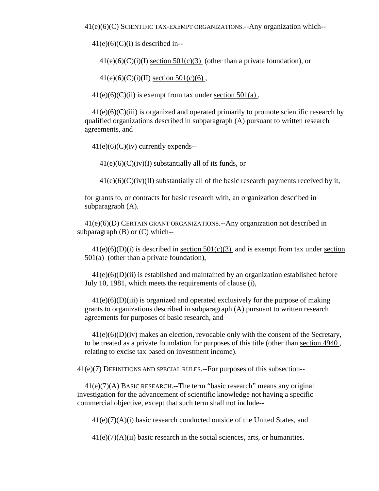41(e)(6)(C) SCIENTIFIC TAX-EXEMPT ORGANIZATIONS.--Any organization which--

 $41(e)(6)(C)(i)$  is described in--

 $41(e)(6)(C)(i)(I)$  section  $501(c)(3)$  (other than a private foundation), or

 $41(e)(6)(C)(i)(II)$  section  $501(c)(6)$ ,

 $41(e)(6)(C)(ii)$  is exempt from tax under section  $501(a)$ ,

 $41(e)(6)(C)(iii)$  is organized and operated primarily to promote scientific research by qualified organizations described in subparagraph (A) pursuant to written research agreements, and

 $41(e)(6)(C)(iv)$  currently expends--

 $41(e)(6)(C)(iv)(I)$  substantially all of its funds, or

 $41(e)(6)(C)(iv)(II)$  substantially all of the basic research payments received by it,

for grants to, or contracts for basic research with, an organization described in subparagraph (A).

41(e)(6)(D) CERTAIN GRANT ORGANIZATIONS.--Any organization not described in subparagraph (B) or (C) which--

 $41(e)(6)(D)(i)$  is described in <u>section 501(c)(3)</u> and is exempt from tax under section 501(a) (other than a private foundation),

 $41(e)(6)(D)(ii)$  is established and maintained by an organization established before July 10, 1981, which meets the requirements of clause (i),

 $41(e)(6)(D)(iii)$  is organized and operated exclusively for the purpose of making grants to organizations described in subparagraph (A) pursuant to written research agreements for purposes of basic research, and

 $41(e)(6)(D)(iv)$  makes an election, revocable only with the consent of the Secretary, to be treated as a private foundation for purposes of this title (other than section 4940 , relating to excise tax based on investment income).

41(e)(7) DEFINITIONS AND SPECIAL RULES.--For purposes of this subsection--

41(e)(7)(A) BASIC RESEARCH.--The term "basic research" means any original investigation for the advancement of scientific knowledge not having a specific commercial objective, except that such term shall not include--

41(e)(7)(A)(i) basic research conducted outside of the United States, and

 $41(e)(7)(A)(ii)$  basic research in the social sciences, arts, or humanities.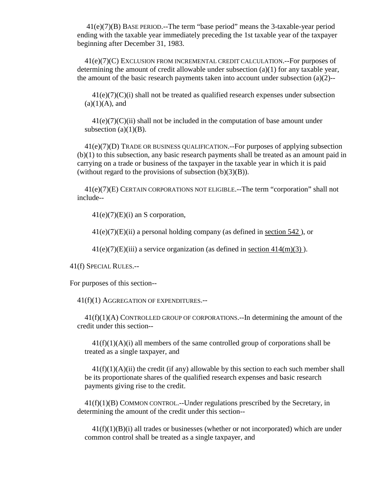41(e)(7)(B) BASE PERIOD.--The term "base period" means the 3-taxable-year period ending with the taxable year immediately preceding the 1st taxable year of the taxpayer beginning after December 31, 1983.

41(e)(7)(C) EXCLUSION FROM INCREMENTAL CREDIT CALCULATION.--For purposes of determining the amount of credit allowable under subsection  $(a)(1)$  for any taxable year, the amount of the basic research payments taken into account under subsection  $(a)(2)$ --

 $41(e)(7)(C)(i)$  shall not be treated as qualified research expenses under subsection  $(a)(1)(A)$ , and

 $41(e)(7)(C)(ii)$  shall not be included in the computation of base amount under subsection  $(a)(1)(B)$ .

41(e)(7)(D) TRADE OR BUSINESS QUALIFICATION.--For purposes of applying subsection (b)(1) to this subsection, any basic research payments shall be treated as an amount paid in carrying on a trade or business of the taxpayer in the taxable year in which it is paid (without regard to the provisions of subsection  $(b)(3)(B)$ ).

41(e)(7)(E) CERTAIN CORPORATIONS NOT ELIGIBLE.--The term "corporation" shall not include--

 $41(e)(7)(E)(i)$  an S corporation,

 $41(e)(7)(E)(ii)$  a personal holding company (as defined in section  $542$ ), or

 $41(e)(7)(E)(iii)$  a service organization (as defined in section  $414(m)(3)$ ).

41(f) SPECIAL RULES.--

For purposes of this section--

41(f)(1) AGGREGATION OF EXPENDITURES.--

41(f)(1)(A) CONTROLLED GROUP OF CORPORATIONS.--In determining the amount of the credit under this section--

 $41(f)(1)(A)(i)$  all members of the same controlled group of corporations shall be treated as a single taxpayer, and

 $41(f)(1)(A)(ii)$  the credit (if any) allowable by this section to each such member shall be its proportionate shares of the qualified research expenses and basic research payments giving rise to the credit.

41(f)(1)(B) COMMON CONTROL.--Under regulations prescribed by the Secretary, in determining the amount of the credit under this section--

 $41(f)(1)(B)(i)$  all trades or businesses (whether or not incorporated) which are under common control shall be treated as a single taxpayer, and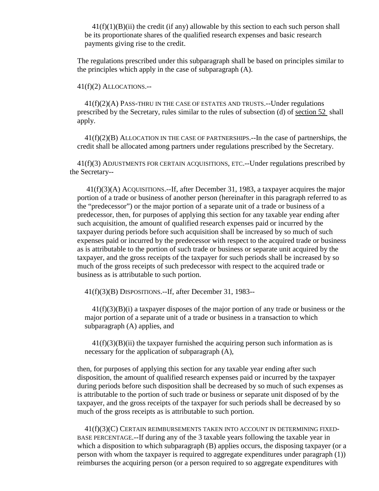$41(f)(1)(B)(ii)$  the credit (if any) allowable by this section to each such person shall be its proportionate shares of the qualified research expenses and basic research payments giving rise to the credit.

The regulations prescribed under this subparagraph shall be based on principles similar to the principles which apply in the case of subparagraph (A).

## 41(f)(2) ALLOCATIONS.--

41(f)(2)(A) PASS-THRU IN THE CASE OF ESTATES AND TRUSTS.--Under regulations prescribed by the Secretary, rules similar to the rules of subsection (d) of section 52 shall apply.

41(f)(2)(B) ALLOCATION IN THE CASE OF PARTNERSHIPS.--In the case of partnerships, the credit shall be allocated among partners under regulations prescribed by the Secretary.

41(f)(3) ADJUSTMENTS FOR CERTAIN ACQUISITIONS, ETC.--Under regulations prescribed by the Secretary--

 41(f)(3)(A) ACQUISITIONS.--If, after December 31, 1983, a taxpayer acquires the major portion of a trade or business of another person (hereinafter in this paragraph referred to as the "predecessor") or the major portion of a separate unit of a trade or business of a predecessor, then, for purposes of applying this section for any taxable year ending after such acquisition, the amount of qualified research expenses paid or incurred by the taxpayer during periods before such acquisition shall be increased by so much of such expenses paid or incurred by the predecessor with respect to the acquired trade or business as is attributable to the portion of such trade or business or separate unit acquired by the taxpayer, and the gross receipts of the taxpayer for such periods shall be increased by so much of the gross receipts of such predecessor with respect to the acquired trade or business as is attributable to such portion.

41(f)(3)(B) DISPOSITIONS.--If, after December 31, 1983--

 $41(f)(3)(B)(i)$  a taxpayer disposes of the major portion of any trade or business or the major portion of a separate unit of a trade or business in a transaction to which subparagraph (A) applies, and

 $41(f)(3)(B)(ii)$  the taxpayer furnished the acquiring person such information as is necessary for the application of subparagraph (A),

then, for purposes of applying this section for any taxable year ending after such disposition, the amount of qualified research expenses paid or incurred by the taxpayer during periods before such disposition shall be decreased by so much of such expenses as is attributable to the portion of such trade or business or separate unit disposed of by the taxpayer, and the gross receipts of the taxpayer for such periods shall be decreased by so much of the gross receipts as is attributable to such portion.

41(f)(3)(C) CERTAIN REIMBURSEMENTS TAKEN INTO ACCOUNT IN DETERMINING FIXED-BASE PERCENTAGE.--If during any of the 3 taxable years following the taxable year in which a disposition to which subparagraph (B) applies occurs, the disposing taxpayer (or a person with whom the taxpayer is required to aggregate expenditures under paragraph (1)) reimburses the acquiring person (or a person required to so aggregate expenditures with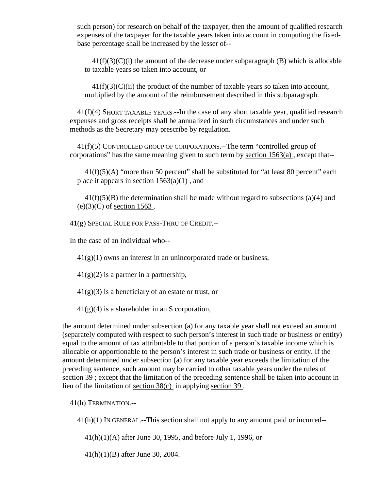such person) for research on behalf of the taxpayer, then the amount of qualified research expenses of the taxpayer for the taxable years taken into account in computing the fixedbase percentage shall be increased by the lesser of--

 $41(f)(3)(C)(i)$  the amount of the decrease under subparagraph (B) which is allocable to taxable years so taken into account, or

 $41(f)(3)(C)(ii)$  the product of the number of taxable years so taken into account, multiplied by the amount of the reimbursement described in this subparagraph.

41(f)(4) SHORT TAXABLE YEARS.--In the case of any short taxable year, qualified research expenses and gross receipts shall be annualized in such circumstances and under such methods as the Secretary may prescribe by regulation.

41(f)(5) CONTROLLED GROUP OF CORPORATIONS.--The term "controlled group of corporations" has the same meaning given to such term by section 1563(a) , except that--

 $41(f)(5)(A)$  "more than 50 percent" shall be substituted for "at least 80 percent" each place it appears in <u>section  $1563(a)(1)$ </u>, and

 $41(f)(5)(B)$  the determination shall be made without regard to subsections (a)(4) and  $(e)(3)(C)$  of section 1563.

41(g) SPECIAL RULE FOR PASS-THRU OF CREDIT.--

In the case of an individual who--

 $41(g)(1)$  owns an interest in an unincorporated trade or business,

 $41(g)(2)$  is a partner in a partnership,

 $41(g)(3)$  is a beneficiary of an estate or trust, or

 $41(g)(4)$  is a shareholder in an S corporation,

the amount determined under subsection (a) for any taxable year shall not exceed an amount (separately computed with respect to such person's interest in such trade or business or entity) equal to the amount of tax attributable to that portion of a person's taxable income which is allocable or apportionable to the person's interest in such trade or business or entity. If the amount determined under subsection (a) for any taxable year exceeds the limitation of the preceding sentence, such amount may be carried to other taxable years under the rules of section 39 ; except that the limitation of the preceding sentence shall be taken into account in lieu of the limitation of section 38(c) in applying section 39 .

41(h) TERMINATION.--

41(h)(1) IN GENERAL.--This section shall not apply to any amount paid or incurred--

41(h)(1)(A) after June 30, 1995, and before July 1, 1996, or

41(h)(1)(B) after June 30, 2004.